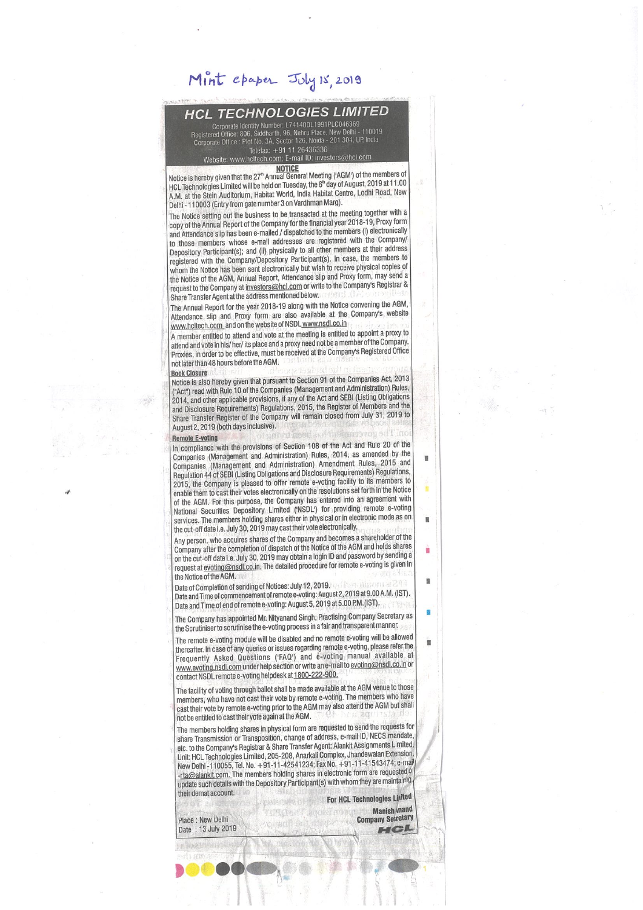# Mint epaper July 15, 2019

## **HCL TECHNOLOGIES LIMITED**

orporate Identity Number: L74140DL1991PLC046369<br>1 Office: 806, Siddharth, 96, Nehru Place, New Delhi - 110i orporate Office : Plot No. 3A, Sector 126. Noida - 201 304, Dr. ind Telefax: +91 11 26436336 Website: www.hcltech.com; E-mail ID: investors@hcl.com

NOTICE<br>Notice is hereby given that the 27<sup>\*</sup> Annual General Meeting ('AGM') of the members of HCL Technologies Limited will be held on Tuesday, the 6<sup>th</sup> day of August, 2019 at 11.00 AM. at the Stein Auditortim, Habitat World, India Habitat Centre. Lodhi Road, New Delhi - 110003 (Entry from gate number 3 on Vardhman Marg).

The Notice setting out the business to be transacted at the meeting together with a copy of the Annual Report of the Company for the financial year 2018-19, Proxy form and Attendance slip has been e-mailed / dispatched to the members (i) electronically to those members whose e-mail addresses are registered with the Company/ Depository Participant(s); and (ii) physically to all other members at their address registered with the Company/Depository Participant(s). In case, the members to whom the Notice has been sent electronically but wish to receive physical copies of the Notice of the AGM, Annual Report, Attendance slip and Proxy form, may send a request to the Company at investors@hcl.com or write to the Company's Registrar & Share Transfer Agent atthe address mentioned below.

The Annual Report for the year 2018-19 along with the Notice convening the AGM, Attendance slip and Proxy form are also available at the Company's website www.hcltech.com and on the website of NSDL www.nsdl.co.in

A member entitled to attend and vote at the meeting is entitled to appoint a proxy to attend and vote in his/ her/ its place and a proxy need not be a member of the Company. Proxies, in order to be effective, must be received at the Company's Registered Office not later than 48 hours before the AGM.

#### **Book Closure**

Notice is also hereby given that pursuant to Section 91 of the Companies Am, 2013 ('Act') read with Rule 10 of the Companies (Management and Administration) Rules. 2014, and other applicable provisions, It any of the Act and SEW (Usling Obligations and Disclosure RequIrements) Regulations, 2015, the Register of Members and the Share Transfer Register of the Company will remain closed from July 31, 2019 to August 2, 2019 (both days inclusive).

### **Remote E-voting**

In compliance with the provisions of Section 108 of the Act and Rule 20 of the Companies (Management and Administration) Rules, 2014, as amended by the Companies (Management and Administration) Amendment Rules, 2015 and Regulation 44 of SEBI (Listing Obligations and Disclosure Requirements) Regulations, 2015, the Company is pleased to offer remote e-voting facility to its members to enable them to cast their votes electronically on the resolutions set forth in the Notice of the ASM. For this purpose, the Company has entered into an agreement with National Securities Depository Limited ('NSDL') for providing remote e-voting services. The members holding shares either in physical or in electronic mode as on the cut-off date i.e. July 30, 2019 may cast their vote electronically.

Any person, who acquires shares of the Company and becomes a shareholder of the Company after the completion of dispatch of the Notice of the ASM and holds shares on the cut-off date i.e. July 30, 2019 may obtain a login ID and password by sending a request at evoting@nsdl.co.in. The detailed procedure for remote e-voting is given in the Notice of the AGM.

Date of Completion of sending of Notices: July 12, 2019. Date and Time of commencement of remote e-voting: August 2, 2019 at 9.00 A.M. (IST). Date and Time of end of remote e-voting: August 5, 2019 at 5.00 P.M. (IST).

The Company has appointed Mr. Nttyanand Singh, Practising Company Secretary as the Scrutiniser to scrutinise the e-voting process in a fair and transparent manner.

The remote e-voting module will be disabled and no remote e-voting will be allowed thereafter. In case of any queries or issues regarding remote e-voting, please refer the Frequently Asked Questions ('FAQ') and e-voting manual available at www.evoting.nsdl.com under help section or write an e-mail to evoting@nsdl.co.in or contact NSDL remote e-voting helpdesk at 1800-222-900.

The facility of voting through ballot shall be made available at the AGM venue to those members, who have not cast their vote by remote e-voting. The members who have cast their vote by remote e-voting prior to the AGM may also attend the AGM but shall be entitied to castthelrvote again atthe ASM.

The members holding shares in physical form are requested to send the requests for share Transmission or Transposition, change of address, e-mail ID, NECS mandate, etc. to the Company's Registrar & Share Transfer Agent: Alankit Assignments Limited, Unit: HCL Technologies Limited, 205-208, Anarkali Complex, Jhandewalan Extension, New Delhi -110055, Tel. No. +91-11-42541234; Fax No. +91-11-41543474; e-mai -rta@alankit.com. The members holding shares in electronic form are requested  $\delta$ update such details with the Depository Participant(s) with whom they are maintairly their demat account.

For HCL Technologies Linited Manish inand **Larry MA** Place: New Delhi<br>Date : 13 July 2019 'n

ú

Ġ

'n,

Place : New Delhi<br>Date : 13 July 2019

a